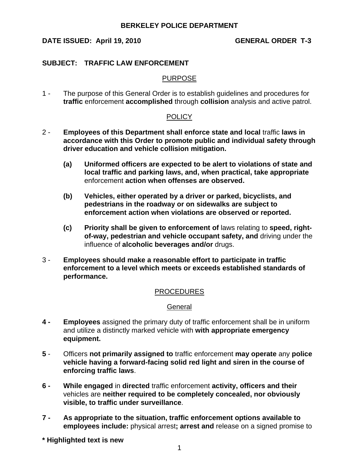# DATE ISSUED: April 19, 2010 GENERAL ORDER T-3

### **SUBJECT: TRAFFIC LAW ENFORCEMENT**

#### PURPOSE

1 - The purpose of this General Order is to establish guidelines and procedures for **traffic** enforcement **accomplished** through **collision** analysis and active patrol.

## POLICY

- 2 **Employees of this Department shall enforce state and local** traffic **laws in accordance with this Order to promote public and individual safety through driver education and vehicle collision mitigation.**
	- **(a) Uniformed officers are expected to be alert to violations of state and local traffic and parking laws, and, when practical, take appropriate** enforcement **action when offenses are observed.**
	- **(b) Vehicles, either operated by a driver or parked, bicyclists, and pedestrians in the roadway or on sidewalks are subject to enforcement action when violations are observed or reported.**
	- **(c) Priority shall be given to enforcement of** laws relating to **speed, rightof-way, pedestrian and vehicle occupant safety, and** driving under the influence of **alcoholic beverages and/or** drugs.
- 3 **Employees should make a reasonable effort to participate in traffic enforcement to a level which meets or exceeds established standards of performance.**

#### PROCEDURES

#### **General**

- **4 Employees** assigned the primary duty of traffic enforcement shall be in uniform and utilize a distinctly marked vehicle with **with appropriate emergency equipment.**
- **5** Officers **not primarily assigned to** traffic enforcement **may operate** any **police vehicle having a forward-facing solid red light and siren in the course of enforcing traffic laws**.
- **6 While engaged** in **directed** traffic enforcement **activity, officers and their** vehicles are **neither required to be completely concealed, nor obviously visible, to traffic under surveillance**.
- **7 As appropriate to the situation, traffic enforcement options available to employees include:** physical arrest**; arrest and** release on a signed promise to
- **\* Highlighted text is new**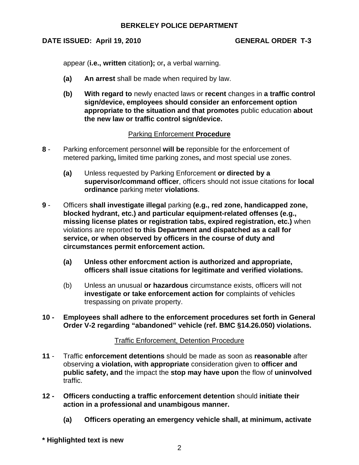# DATE ISSUED: April 19, 2010 GENERAL ORDER T-3

appear (**i.e., written** citation**);** or**,** a verbal warning.

- **(a) An arrest** shall be made when required by law.
- **(b) With regard to** newly enacted laws or **recent** changes in **a traffic control sign/device, employees should consider an enforcement option appropriate to the situation and that promotes** public education **about the new law or traffic control sign/device.**

# Parking Enforcement **Procedure**

- **8** Parking enforcement personnel **will be** reponsible for the enforcement of metered parking**,** limited time parking zones**,** and most special use zones.
	- **(a)** Unless requested by Parking Enforcement **or directed by a supervisor/command officer**, officers should not issue citations for **local ordinance** parking meter **violations**.
- **9** Officers **shall investigate illegal** parking **(e.g., red zone, handicapped zone, blocked hydrant, etc.) and particular equipment-related offenses (e.g., missing license plates or registration tabs, expired registration, etc.)** when violations are reported **to this Department and dispatched as a call for service, or when observed by officers in the course of duty and circumstances permit enforcement action.**
	- **(a) Unless other enforcment action is authorized and appropriate, officers shall issue citations for legitimate and verified violations.**
	- (b) Unless an unusual **or hazardous** circumstance exists, officers will not **investigate or take enforcement action for** complaints of vehicles trespassing on private property.
- **10 Employees shall adhere to the enforcement procedures set forth in General Order V-2 regarding "abandoned" vehicle (ref. BMC §14.26.050) violations.**

# Traffic Enforcement, Detention Procedure

- **11** Traffic **enforcement detentions** should be made as soon as **reasonable** after observing **a violation, with appropriate** consideration given to **officer and public safety, and** the impact the **stop may have upon** the flow of **uninvolved** traffic.
- **12 Officers conducting a traffic enforcement detention** should **initiate their action in a professional and unambigous manner.**
	- **(a) Officers operating an emergency vehicle shall, at minimum, activate**
- **\* Highlighted text is new**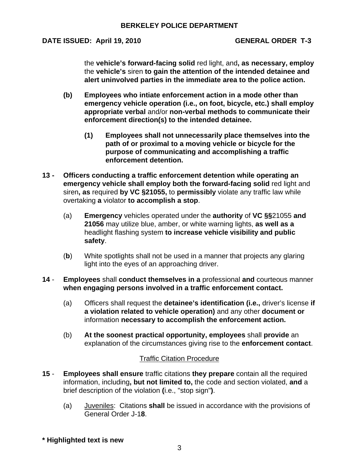# DATE ISSUED: April 19, 2010 GENERAL ORDER T-3

the **vehicle's forward-facing solid** red light, and**, as necessary, employ** the **vehicle's** siren **to gain the attention of the intended detainee and alert uninvolved parties in the immediate area to the police action.**

- **(b) Employees who intiate enforcement action in a mode other than emergency vehicle operation (i.e., on foot, bicycle, etc.) shall employ appropriate verbal** and/or **non-verbal methods to communicate their enforcement direction(s) to the intended detainee.**
	- **(1) Employees shall not unnecessarily place themselves into the path of or proximal to a moving vehicle or bicycle for the purpose of communicating and accomplishing a traffic enforcement detention.**
- **13 Officers conducting a traffic enforcement detention while operating an emergency vehicle shall employ both the forward-facing solid** red light and siren**, as** required **by VC §21055,** to **permissibly** violate any traffic law while overtaking **a** violator **to accomplish a stop**.
	- (a) **Emergency** vehicles operated under the **authority** of **VC §§**21055 **and 21056** may utilize blue, amber, or white warning lights, **as well as a** headlight flashing system **to increase vehicle visibility and public safety**.
	- (**b**) White spotlights shall not be used in a manner that projects any glaring light into the eyes of an approaching driver.
- **14 Employees** shall **conduct themselves in a** professional **and** courteous manner **when engaging persons involved in a traffic enforcement contact.**
	- (a) Officers shall request the **detainee's identification (i.e.,** driver's license **if a violation related to vehicle operation)** and any other **document or** information **necessary to accomplish the enforcement action.**
	- (b) **At the soonest practical opportunity, employees** shall **provide** an explanation of the circumstances giving rise to the **enforcement contact**.

#### Traffic Citation Procedure

- **15 Employees shall ensure** traffic citations **they prepare** contain all the required information, including**, but not limited to,** the code and section violated, **and** a brief description of the violation **(**i.e., "stop sign"**)**.
	- (a) Juveniles: Citations **shall** be issued in accordance with the provisions of General Order J-1**8**.
- **\* Highlighted text is new**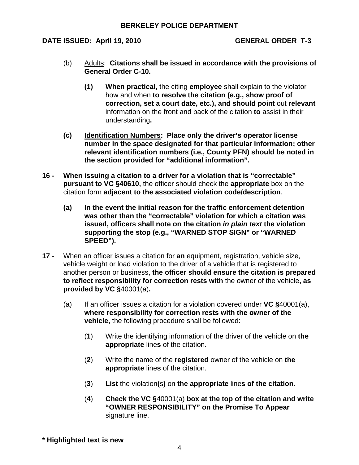DATE ISSUED: April 19, 2010 GENERAL ORDER T-3

- (b) Adults: **Citations shall be issued in accordance with the provisions of General Order C-10.**
	- **(1) When practical,** the citing **employee** shall explain to the violator how and when **to resolve the citation (e.g., show proof of correction, set a court date, etc.), and should point** out **relevant** information on the front and back of the citation **to** assist in their understanding**.**
- **(c) Identification Numbers: Place only the driver's operator license number in the space designated for that particular information; other relevant identification numbers (i.e., County PFN) should be noted in the section provided for "additional information".**
- **16 When issuing a citation to a driver for a violation that is "correctable" pursuant to VC §40610,** the officer should check the **appropriate** box on the citation form **adjacent to the associated violation code/description**.
	- **(a) In the event the initial reason for the traffic enforcement detention was other than the "correctable" violation for which a citation was issued, officers shall note on the citation** *in plain text* **the violation supporting the stop (e.g., "WARNED STOP SIGN" or "WARNED SPEED").**
- **17** When an officer issues a citation for **an** equipment, registration, vehicle size, vehicle weight or load violation to the driver of a vehicle that is registered to another person or business, **the officer should ensure the citation is prepared to reflect responsibility for correction rests with** the owner of the vehicle**, as provided by VC §**40001(a)**.**
	- (a) If an officer issues a citation for a violation covered under **VC §**40001(a), **where responsibility for correction rests with the owner of the vehicle,** the following procedure shall be followed:
		- (**1**) Write the identifying information of the driver of the vehicle on **the appropriate** line**s** of the citation.
		- (**2**) Write the name of the **registered** owner of the vehicle on **the appropriate** line**s** of the citation.
		- (**3**) **List** the violation**(**s**)** on **the appropriate** line**s of the citation**.
		- (**4**) **Check the VC §**40001(a) **box at the top of the citation and write "OWNER RESPONSIBILITY" on the Promise To Appear** signature line.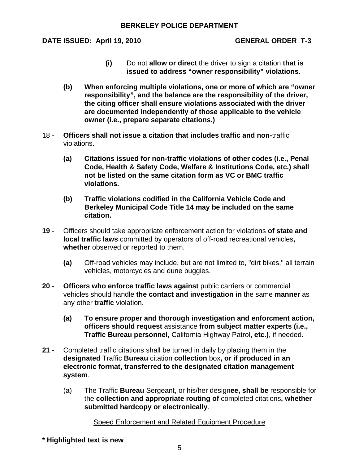DATE ISSUED: April 19, 2010 GENERAL ORDER T-3

- **(i)** Do not **allow or direct** the driver to sign a citation **that is issued to address "owner responsibility" violations**.
- **(b) When enforcing multiple violations, one or more of which are "owner responsibility", and the balance are the responsibility of the driver, the citing officer shall ensure violations associated with the driver are documented independently of those applicable to the vehicle owner (i.e., prepare separate citations.)**
- 18 **Officers shall not issue a citation that includes traffic and non-**traffic violations.
	- **(a) Citations issued for non-traffic violations of other codes (i.e., Penal Code, Health & Safety Code, Welfare & Institutions Code, etc.) shall not be listed on the same citation form as VC or BMC traffic violations.**
	- **(b) Traffic violations codified in the California Vehicle Code and Berkeley Municipal Code Title 14 may be included on the same citation.**
- **19** Officers should take appropriate enforcement action for violations **of state and local traffic laws** committed by operators of off-road recreational vehicles**, whether** observed or reported to them.
	- **(a)** Off-road vehicles may include, but are not limited to, "dirt bikes," all terrain vehicles, motorcycles and dune buggies.
- **20 Officers who enforce traffic laws against** public carriers or commercial vehicles should handle **the contact and investigation in** the same **manner** as any other **traffic** violation.
	- **(a) To ensure proper and thorough investigation and enforcment action, officers should request** assistance **from subject matter experts (i.e., Traffic Bureau personnel,** California Highway Patrol**, etc.)**, if needed.
- **21** Completed traffic citations shall be turned in daily by placing them in the **designated** Traffic **Bureau** citation **collection** box**, or if produced in an electronic format, transferred to the designated citation management system**.
	- (a) The Traffic **Bureau** Sergeant, or his/her design**ee, shall be** responsible for the **collection and appropriate routing of** completed citations**, whether submitted hardcopy or electronically**.

# Speed Enforcement and Related Equipment Procedure

**\* Highlighted text is new**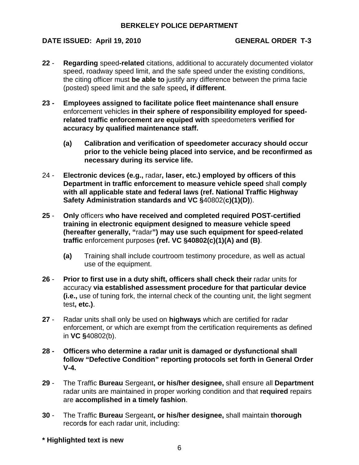# DATE ISSUED: April 19, 2010 GENERAL ORDER T-3

- **22 Regarding** speed**-related** citations, additional to accurately documented violator speed, roadway speed limit, and the safe speed under the existing conditions, the citing officer must **be able to** justify any difference between the prima facie (posted) speed limit and the safe speed**, if different**.
- **23 Employees assigned to facilitate police fleet maintenance shall ensure**  enforcement vehicles **in their sphere of responsibility employed for speedrelated traffic enforcement are equiped with** speedometer**s verified for accuracy by qualified maintenance staff.**
	- **(a) Calibration and verification of speedometer accuracy should occur prior to the vehicle being placed into service, and be reconfirmed as necessary during its service life.**
- 24 **Electronic devices (e.g.,** radar**, laser, etc.) employed by officers of this Department in traffic enforcement to measure vehicle speed** shall **comply with all applicable state and federal laws (ref. National Traffic Highway Safety Administration standards and VC §**40802(**c)(1)(D)**).
- **25 Only** officers **who have received and completed required POST-certified training in electronic equipment designed to measure vehicle speed (hereafter generally, "**radar**") may use such equipment for speed-related traffic** enforcement purposes **(ref. VC §40802(c)(1)(A) and (B)**.
	- **(a)** Training shall include courtroom testimony procedure, as well as actual use of the equipment.
- **26 Prior to first use in a duty shift, officers shall check their** radar units for accuracy **via established assessment procedure for that particular device (i.e.,** use of tuning fork, the internal check of the counting unit, the light segment test**, etc.)**.
- **27** Radar units shall only be used on **highways** which are certified for radar enforcement, or which are exempt from the certification requirements as defined in **VC §**40802(b).
- **28 Officers who determine a radar unit is damaged or dysfunctional shall follow "Defective Condition" reporting protocols set forth in General Order V-4.**
- **29** The Traffic **Bureau** Sergeant**, or his/her designee,** shall ensure all **Department** radar units are maintained in proper working condition and that **required** repairs are **accomplished in a timely fashion**.
- **30** The Traffic **Bureau** Sergeant**, or his/her designee,** shall maintain **thorough** record**s** for each radar unit, including:
- **\* Highlighted text is new**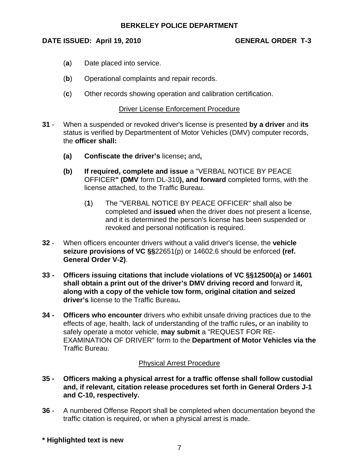# DATE ISSUED: April 19, 2010 GENERAL ORDER T-3

- (**a**) Date placed into service.
- (**b**) Operational complaints and repair records.
- (**c**) Other records showing operation and calibration certification.

#### Driver License Enforcement Procedure

- **31** When a suspended or revoked driver's license is presented **by a driver** and **its** status is verified by Departmentent of Motor Vehicles (DMV) computer records, the **officer shall:**
	- **(a) Confiscate the driver's** license**;** and**,**
	- **(b) If required, complete and issue** a "VERBAL NOTICE BY PEACE OFFICER**" (DMV** form DL-310**), and forward** completed forms, with the license attached, to the Traffic Bureau.
		- (**1**) The "VERBAL NOTICE BY PEACE OFFICER" shall also be completed and **issued** when the driver does not present a license, and it is determined the person's license has been suspended or revoked and personal notification is required.
- **32**  When officers encounter drivers without a valid driver's license, the **vehicle seizure provisions of VC §§**22651(p) or 14602.6 should be enforced **(ref. General Order V-2)**.
- **33 Officers issuing citations that include violations of VC §§12500(a) or 14601 shall obtain a print out of the driver's DMV driving record and** forward **it, along with a copy of the vehicle tow form, original citation and seized driver's** license to the Traffic Bureau**.**
- **34 Officers who encounter** drivers who exhibit unsafe driving practices due to the effects of age, health, lack of understanding of the traffic rules**,** or an inability to safely operate a motor vehicle, **may submit** a "REQUEST FOR RE-EXAMINATION OF DRIVER" form to the **Department of Motor Vehicles via the**  Traffic Bureau.

#### Physical Arrest Procedure

- **35 Officers making a physical arrest for a traffic offense shall follow custodial and, if relevant, citation release procedures set forth in General Orders J-1 and C-10, respectively.**
- **36**  A numbered Offense Report shall be completed when documentation beyond the traffic citation is required, or when a physical arrest is made.
- **\* Highlighted text is new**